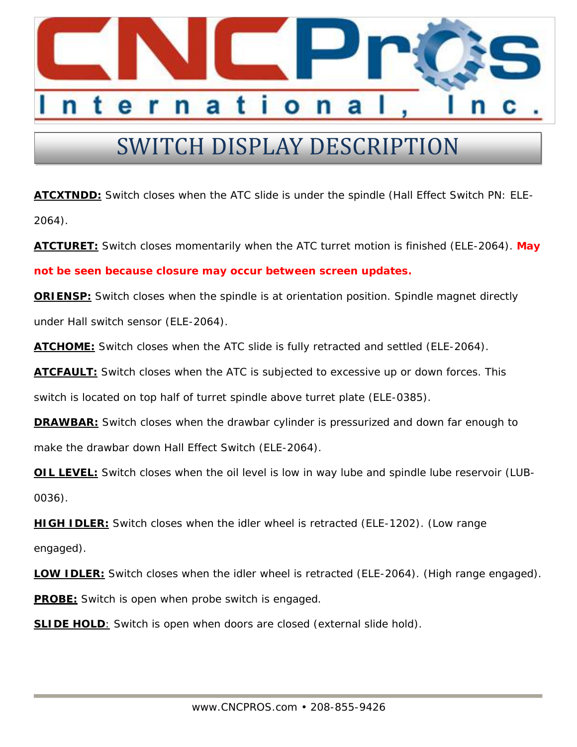

## SWITCH DISPLAY DESCRIPTION

**ATCXTNDD:** Switch closes when the ATC slide is under the spindle (Hall Effect Switch PN: ELE-2064).

**ATCTURET:** Switch closes momentarily when the ATC turret motion is finished (ELE-2064). **May not be seen because closure may occur between screen updates.**

**ORIENSP:** Switch closes when the spindle is at orientation position. Spindle magnet directly under Hall switch sensor (ELE-2064).

**ATCHOME:** Switch closes when the ATC slide is fully retracted and settled (ELE-2064).

**ATCFAULT:** Switch closes when the ATC is subjected to excessive up or down forces. This

switch is located on top half of turret spindle above turret plate (ELE-0385).

**DRAWBAR:** Switch closes when the drawbar cylinder is pressurized and down far enough to make the drawbar down Hall Effect Switch (ELE-2064).

**OIL LEVEL:** Switch closes when the oil level is low in way lube and spindle lube reservoir (LUB-0036).

**HIGH IDLER:** Switch closes when the idler wheel is retracted (ELE-1202). (Low range

engaged).

**LOW IDLER:** Switch closes when the idler wheel is retracted (ELE-2064). (High range engaged). **PROBE:** Switch is open when probe switch is engaged.

**SLIDE HOLD**: Switch is open when doors are closed (external slide hold).